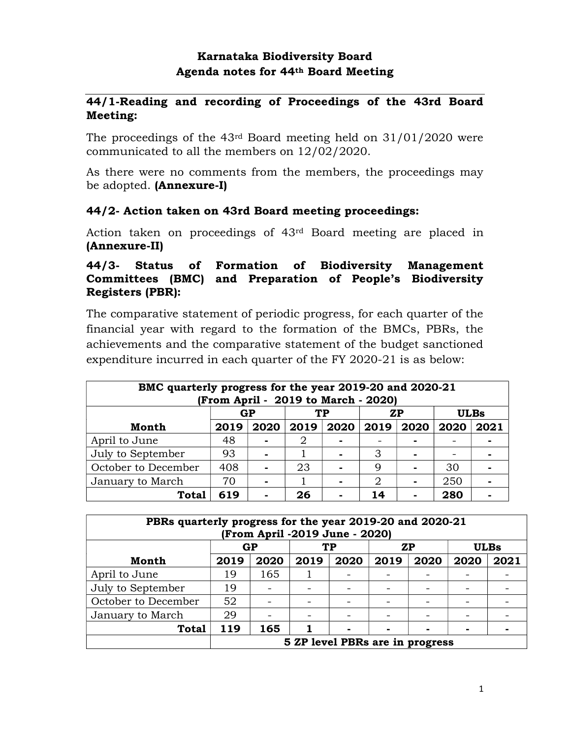### Karnataka Biodiversity Board Agenda notes for 44th Board Meeting

#### 44/1-Reading and recording of Proceedings of the 43rd Board Meeting:

The proceedings of the 43rd Board meeting held on 31/01/2020 were communicated to all the members on 12/02/2020.

As there were no comments from the members, the proceedings may be adopted. (Annexure-I)

#### 44/2- Action taken on 43rd Board meeting proceedings:

Action taken on proceedings of 43rd Board meeting are placed in (Annexure-II)

#### 44/3- Status of Formation of Biodiversity Management Committees (BMC) and Preparation of People's Biodiversity Registers (PBR):

The comparative statement of periodic progress, for each quarter of the financial year with regard to the formation of the BMCs, PBRs, the achievements and the comparative statement of the budget sanctioned expenditure incurred in each quarter of the FY 2020-21 is as below:

| BMC quarterly progress for the year 2019-20 and 2020-21<br>(From April - 2019 to March - 2020) |                                      |      |      |      |      |      |      |      |
|------------------------------------------------------------------------------------------------|--------------------------------------|------|------|------|------|------|------|------|
|                                                                                                | GP<br><b>ULBs</b><br>TP<br><b>ZP</b> |      |      |      |      |      |      |      |
| <b>Month</b>                                                                                   | 2019                                 | 2020 | 2019 | 2020 | 2019 | 2020 | 2020 | 2021 |
| April to June                                                                                  | 48                                   |      | 2    |      |      |      |      |      |
| July to September                                                                              | 93                                   |      |      |      | 3    |      |      |      |
| October to December                                                                            | 408                                  |      | 23   |      | 9    |      | 30   |      |
| January to March                                                                               | 70                                   |      |      |      | 2    |      | 250  |      |
| 280<br>619<br><b>Total</b><br>26<br>14                                                         |                                      |      |      |      |      |      |      |      |

| PBRs quarterly progress for the year 2019-20 and 2020-21<br>(From April -2019 June - 2020) |                                 |      |      |                |      |           |      |             |
|--------------------------------------------------------------------------------------------|---------------------------------|------|------|----------------|------|-----------|------|-------------|
|                                                                                            |                                 | GP   |      | TP             |      | <b>ZP</b> |      | <b>ULBs</b> |
| Month                                                                                      | 2019                            | 2020 | 2019 | 2020           | 2019 | 2020      | 2020 | 2021        |
| April to June                                                                              | 19                              | 165  |      |                |      |           |      |             |
| July to September                                                                          | 19                              |      |      |                |      |           |      |             |
| October to December                                                                        | 52                              |      |      |                |      |           |      |             |
| January to March                                                                           | 29                              |      |      |                |      |           |      |             |
| <b>Total</b>                                                                               | 119                             | 165  |      | $\blacksquare$ |      |           |      |             |
|                                                                                            | 5 ZP level PBRs are in progress |      |      |                |      |           |      |             |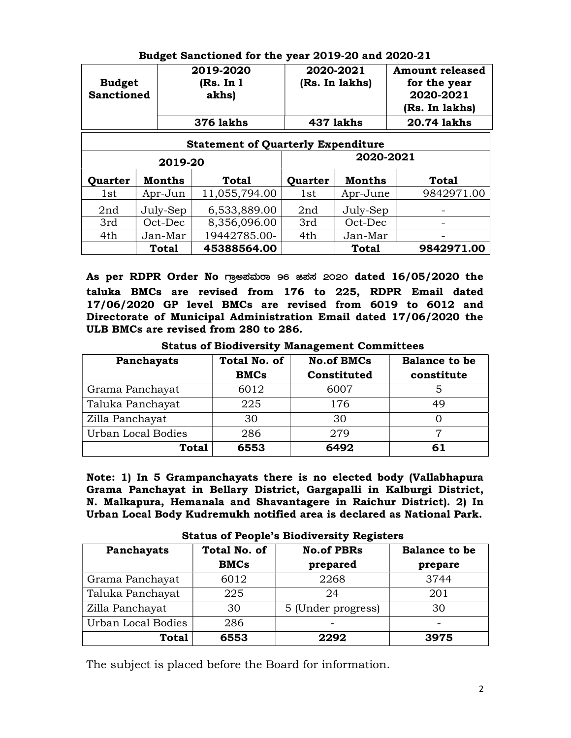| <b>Budget</b><br><b>Sanctioned</b> |                                           | 2019-2020<br>2020-2021<br>(Rs. In lakhs)<br>(Rs. In 1)<br>akhs) |         |           | <b>Amount released</b><br>for the year<br>2020-2021<br>(Rs. In lakhs) |  |  |  |
|------------------------------------|-------------------------------------------|-----------------------------------------------------------------|---------|-----------|-----------------------------------------------------------------------|--|--|--|
|                                    |                                           | <b>376 lakhs</b>                                                |         | 437 lakhs | 20.74 lakhs                                                           |  |  |  |
|                                    | <b>Statement of Quarterly Expenditure</b> |                                                                 |         |           |                                                                       |  |  |  |
|                                    | 2019-20                                   |                                                                 |         | 2020-2021 |                                                                       |  |  |  |
| Quarter                            | Months                                    | <b>Total</b>                                                    | Quarter | Months    | <b>Total</b>                                                          |  |  |  |
| 1st                                | Apr-Jun                                   | 11,055,794.00                                                   | 1st     | Apr-June  | 9842971.00                                                            |  |  |  |
| 2nd                                | July-Sep                                  | 6,533,889.00                                                    | 2nd     | July-Sep  |                                                                       |  |  |  |
| 3rd                                | Oct-Dec                                   | 8,356,096.00                                                    | 3rd     | Oct-Dec   |                                                                       |  |  |  |
| 4th                                | Jan-Mar                                   | 19442785.00-                                                    | 4th     | Jan-Mar   |                                                                       |  |  |  |
|                                    | Total                                     | 45388564.00                                                     |         | Total     | 9842971.00                                                            |  |  |  |

#### Budget Sanctioned for the year 2019-20 and 2020-21

As per RDPR Order No mestation 96 ast 2020 dated 16/05/2020 the taluka BMCs are revised from 176 to 225, RDPR Email dated 17/06/2020 GP level BMCs are revised from 6019 to 6012 and Directorate of Municipal Administration Email dated 17/06/2020 the ULB BMCs are revised from 280 to 286.

Status of Biodiversity Management Committees

| Panchayats         | Total No. of | <b>No.of BMCs</b> | <b>Balance to be</b> |
|--------------------|--------------|-------------------|----------------------|
|                    | <b>BMCs</b>  | Constituted       | constitute           |
| Grama Panchayat    | 6012         | 6007              |                      |
| Taluka Panchayat   | 225          | 176               | 49                   |
| Zilla Panchayat    | 30           | 30                |                      |
| Urban Local Bodies | 286          | 279               |                      |
| <b>Total</b>       | 6553         | 6492              | 61                   |

Note: 1) In 5 Grampanchayats there is no elected body (Vallabhapura Grama Panchayat in Bellary District, Gargapalli in Kalburgi District, N. Malkapura, Hemanala and Shavantagere in Raichur District). 2) In Urban Local Body Kudremukh notified area is declared as National Park.

| $\sim$ category of a corporational category are $\sim$ - |                                    |                               |                                 |  |  |
|----------------------------------------------------------|------------------------------------|-------------------------------|---------------------------------|--|--|
| Panchayats                                               | <b>Total No. of</b><br><b>BMCs</b> | <b>No.of PBRs</b><br>prepared | <b>Balance to be</b><br>prepare |  |  |
|                                                          |                                    |                               |                                 |  |  |
| Grama Panchayat                                          | 6012                               | 2268                          | 3744                            |  |  |
| Taluka Panchayat                                         | 225                                | 24                            | 201                             |  |  |
| Zilla Panchayat                                          | 30                                 | 5 (Under progress)            | 30                              |  |  |
| Urban Local Bodies                                       | 286                                |                               |                                 |  |  |
| <b>Total</b>                                             | 6553                               | 2292                          | 3975                            |  |  |

Status of People's Biodiversity Registers

The subject is placed before the Board for information.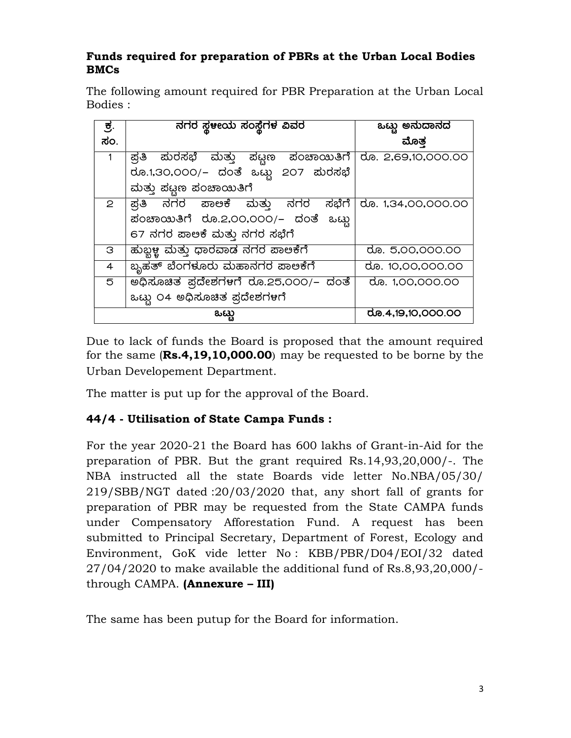#### Funds required for preparation of PBRs at the Urban Local Bodies BMCs

The following amount required for PBR Preparation at the Urban Local Bodies :

| ಕ್ರ.           | ನಗರ ಸ್ಥಳಿಯ ಸಂಸ್ಥೆಗಳ ವಿವರ             | ಒಟ್ಟು ಅನುದಾನದ      |
|----------------|--------------------------------------|--------------------|
| ಸಂ.            |                                      | ಮೊತ                |
| 1              | ್ರಪತಿ ಮರಸಭೆ ಮತ್ತು ಪಟ್ಟಣ ಪಂಚಾಯಿತಿಗೆ   | ರೂ. 2,69,10,000.00 |
|                | ರೂ.1,30,000/– ದಂತೆ ಒಟ್ಟು 207 ಮರಸಭೆ   |                    |
|                | ಮತ್ತು ಪಟ್ಟಣ ಪಂಚಾಯಿತಿಗೆ               |                    |
| $\mathbf{P}$   | ್ರತಿ ನಗರ ಪಾಅಕೆ ಮತ್ತು ನಗರ ಸಭೆಗೆ       | ರೂ. 1,34,00,000.00 |
|                | ಪಂಚಾಯಿತಿಗೆ ರೂ.2,00,000/– ದಂತೆ ಒಟ್ಟು  |                    |
|                | 67 ನಗರ ಪಾಲಕೆ ಮತ್ತು ನಗರ ಸಭೆಗೆ         |                    |
| З              | ಹುಬ್ಬಳ್ಳ ಮತ್ತು ಧಾರವಾಡ ನಗರ ಪಾಅಕೆಗೆ    | ರೂ. 5,00,000.00    |
| $\overline{4}$ | ಬ್ಬಹತ್ ಬೆಂಗಳೂರು ಮಹಾನಗರ ಪಾಅಕೆಗೆ       | ರೂ. 10,00,000.00   |
| 5              | ಅಧಿಸೂಚಿತ ಪ್ರದೇಶಗಳಗೆ ರೂ.25,000/– ದಂತೆ | ರೂ. 1,00,000.00    |
|                | ಒಟ್ಟು ೦4 ಅಧಿಸೂಚಿತ ಪ್ರದೇಶಗಳಿಗೆ        |                    |
|                | ಒಟು                                  | ರೂ.4,19,10,000.00  |

Due to lack of funds the Board is proposed that the amount required for the same (Rs.4,19,10,000.00) may be requested to be borne by the Urban Developement Department.

The matter is put up for the approval of the Board.

### 44/4 - Utilisation of State Campa Funds :

For the year 2020-21 the Board has 600 lakhs of Grant-in-Aid for the preparation of PBR. But the grant required Rs.14,93,20,000/-. The NBA instructed all the state Boards vide letter No.NBA/05/30/ 219/SBB/NGT dated :20/03/2020 that, any short fall of grants for preparation of PBR may be requested from the State CAMPA funds under Compensatory Afforestation Fund. A request has been submitted to Principal Secretary, Department of Forest, Ecology and Environment, GoK vide letter No : KBB/PBR/D04/EOI/32 dated 27/04/2020 to make available the additional fund of Rs.8,93,20,000/ through CAMPA. (Annexure – III)

The same has been putup for the Board for information.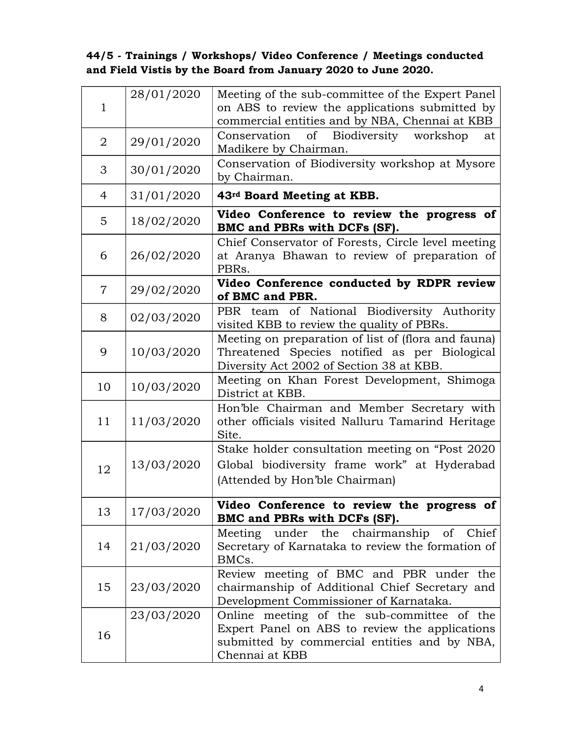# 44/5 - Trainings / Workshops/ Video Conference / Meetings conducted and Field Vistis by the Board from January 2020 to June 2020.

| 1              | 28/01/2020 | Meeting of the sub-committee of the Expert Panel<br>on ABS to review the applications submitted by<br>commercial entities and by NBA, Chennai at KBB           |
|----------------|------------|----------------------------------------------------------------------------------------------------------------------------------------------------------------|
| 2              | 29/01/2020 | of Biodiversity workshop<br>Conservation<br>at<br>Madikere by Chairman.                                                                                        |
| 3              | 30/01/2020 | Conservation of Biodiversity workshop at Mysore<br>by Chairman.                                                                                                |
| 4              | 31/01/2020 | 43rd Board Meeting at KBB.                                                                                                                                     |
| 5              | 18/02/2020 | Video Conference to review the progress of<br>BMC and PBRs with DCFs (SF).                                                                                     |
| 6              | 26/02/2020 | Chief Conservator of Forests, Circle level meeting<br>at Aranya Bhawan to review of preparation of<br>PBR <sub>s</sub> .                                       |
| $\overline{7}$ | 29/02/2020 | Video Conference conducted by RDPR review<br>of BMC and PBR.                                                                                                   |
| 8              | 02/03/2020 | PBR team of National Biodiversity Authority<br>visited KBB to review the quality of PBRs.                                                                      |
| 9              | 10/03/2020 | Meeting on preparation of list of (flora and fauna)<br>Threatened Species notified as per Biological<br>Diversity Act 2002 of Section 38 at KBB.               |
| 10             | 10/03/2020 | Meeting on Khan Forest Development, Shimoga<br>District at KBB.                                                                                                |
| 11             | 11/03/2020 | Hon'ble Chairman and Member Secretary with<br>other officials visited Nalluru Tamarind Heritage<br>Site.                                                       |
| 12             | 13/03/2020 | Stake holder consultation meeting on "Post 2020<br>Global biodiversity frame work" at Hyderabad<br>(Attended by Hon'ble Chairman)                              |
| 13             | 17/03/2020 | Video Conference to review the progress of<br>BMC and PBRs with DCFs (SF).                                                                                     |
| 14             | 21/03/2020 | under the chairmanship of<br>Chief<br>Meeting<br>Secretary of Karnataka to review the formation of<br>BMCs.                                                    |
| 15             | 23/03/2020 | Review meeting of BMC and PBR under the<br>chairmanship of Additional Chief Secretary and<br>Development Commissioner of Karnataka.                            |
| 16             | 23/03/2020 | Online meeting of the sub-committee of the<br>Expert Panel on ABS to review the applications<br>submitted by commercial entities and by NBA,<br>Chennai at KBB |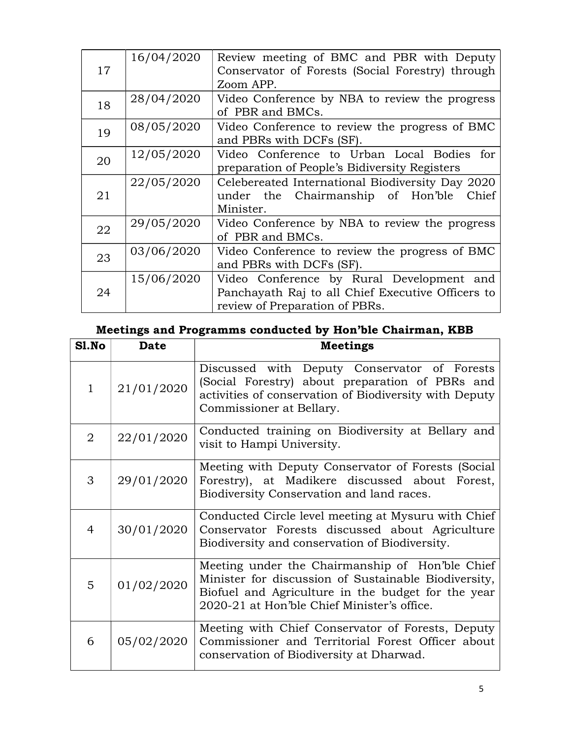| 17 | 16/04/2020 | Review meeting of BMC and PBR with Deputy<br>Conservator of Forests (Social Forestry) through<br>Zoom APP.                       |  |  |  |
|----|------------|----------------------------------------------------------------------------------------------------------------------------------|--|--|--|
| 18 | 28/04/2020 | Video Conference by NBA to review the progress<br>of PBR and BMCs.                                                               |  |  |  |
| 19 | 08/05/2020 | Video Conference to review the progress of BMC<br>and PBRs with DCFs (SF).                                                       |  |  |  |
| 20 | 12/05/2020 | Video Conference to Urban Local Bodies for<br>preparation of People's Bidiversity Registers                                      |  |  |  |
| 21 | 22/05/2020 | Celebereated International Biodiversity Day 2020<br>under the Chairmanship of Hon'ble<br>Chief<br>Minister.                      |  |  |  |
| 22 | 29/05/2020 | Video Conference by NBA to review the progress<br>of PBR and BMCs.                                                               |  |  |  |
| 23 | 03/06/2020 | Video Conference to review the progress of BMC<br>and PBRs with DCFs (SF).                                                       |  |  |  |
| 24 | 15/06/2020 | Video Conference by Rural Development and<br>Panchayath Raj to all Chief Executive Officers to<br>review of Preparation of PBRs. |  |  |  |

# Meetings and Programms conducted by Hon'ble Chairman, KBB

| Sl.No          | <b>Date</b> | <b>Meetings</b>                                                                                                                                                                                              |
|----------------|-------------|--------------------------------------------------------------------------------------------------------------------------------------------------------------------------------------------------------------|
| $\mathbf{1}$   | 21/01/2020  | Discussed with Deputy Conservator of Forests<br>(Social Forestry) about preparation of PBRs and<br>activities of conservation of Biodiversity with Deputy<br>Commissioner at Bellary.                        |
| $\overline{2}$ | 22/01/2020  | Conducted training on Biodiversity at Bellary and<br>visit to Hampi University.                                                                                                                              |
| 3              | 29/01/2020  | Meeting with Deputy Conservator of Forests (Social<br>Forestry), at Madikere discussed about Forest,<br>Biodiversity Conservation and land races.                                                            |
| 4              | 30/01/2020  | Conducted Circle level meeting at Mysuru with Chief<br>Conservator Forests discussed about Agriculture<br>Biodiversity and conservation of Biodiversity.                                                     |
| 5              | 01/02/2020  | Meeting under the Chairmanship of Hon'ble Chief<br>Minister for discussion of Sustainable Biodiversity,<br>Biofuel and Agriculture in the budget for the year<br>2020-21 at Hon'ble Chief Minister's office. |
| 6              | 05/02/2020  | Meeting with Chief Conservator of Forests, Deputy<br>Commissioner and Territorial Forest Officer about<br>conservation of Biodiversity at Dharwad.                                                           |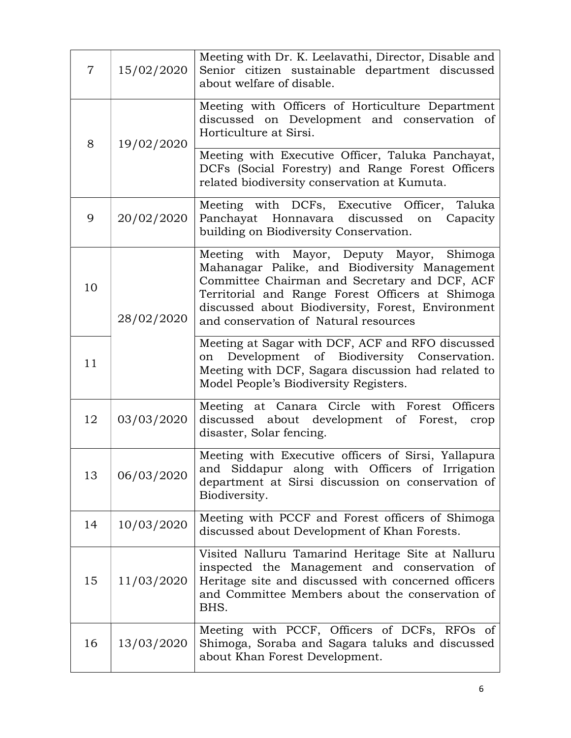| $\overline{7}$ | 15/02/2020 | Meeting with Dr. K. Leelavathi, Director, Disable and<br>Senior citizen sustainable department discussed<br>about welfare of disable.                                                                                                                                                         |
|----------------|------------|-----------------------------------------------------------------------------------------------------------------------------------------------------------------------------------------------------------------------------------------------------------------------------------------------|
| 8              | 19/02/2020 | Meeting with Officers of Horticulture Department<br>discussed on Development and conservation of<br>Horticulture at Sirsi.                                                                                                                                                                    |
|                |            | Meeting with Executive Officer, Taluka Panchayat,<br>DCFs (Social Forestry) and Range Forest Officers<br>related biodiversity conservation at Kumuta.                                                                                                                                         |
| 9              | 20/02/2020 | Meeting with DCFs, Executive Officer, Taluka<br>Panchayat Honnavara discussed<br>on Capacity<br>building on Biodiversity Conservation.                                                                                                                                                        |
| 10             | 28/02/2020 | Meeting with Mayor, Deputy Mayor, Shimoga<br>Mahanagar Palike, and Biodiversity Management<br>Committee Chairman and Secretary and DCF, ACF<br>Territorial and Range Forest Officers at Shimoga<br>discussed about Biodiversity, Forest, Environment<br>and conservation of Natural resources |
| 11             |            | Meeting at Sagar with DCF, ACF and RFO discussed<br>Development of Biodiversity Conservation.<br>on<br>Meeting with DCF, Sagara discussion had related to<br>Model People's Biodiversity Registers.                                                                                           |
| 12             | 03/03/2020 | Meeting at Canara Circle with Forest Officers<br>discussed about development of Forest,<br>crop<br>disaster, Solar fencing.                                                                                                                                                                   |
| 13             | 06/03/2020 | Meeting with Executive officers of Sirsi, Yallapura<br>and Siddapur along with Officers of Irrigation<br>department at Sirsi discussion on conservation of<br>Biodiversity.                                                                                                                   |
| 14             | 10/03/2020 | Meeting with PCCF and Forest officers of Shimoga<br>discussed about Development of Khan Forests.                                                                                                                                                                                              |
| 15             | 11/03/2020 | Visited Nalluru Tamarind Heritage Site at Nalluru<br>inspected the Management and conservation of<br>Heritage site and discussed with concerned officers<br>and Committee Members about the conservation of<br>BHS.                                                                           |
| 16             | 13/03/2020 | Meeting with PCCF, Officers of DCFs, RFOs of<br>Shimoga, Soraba and Sagara taluks and discussed<br>about Khan Forest Development.                                                                                                                                                             |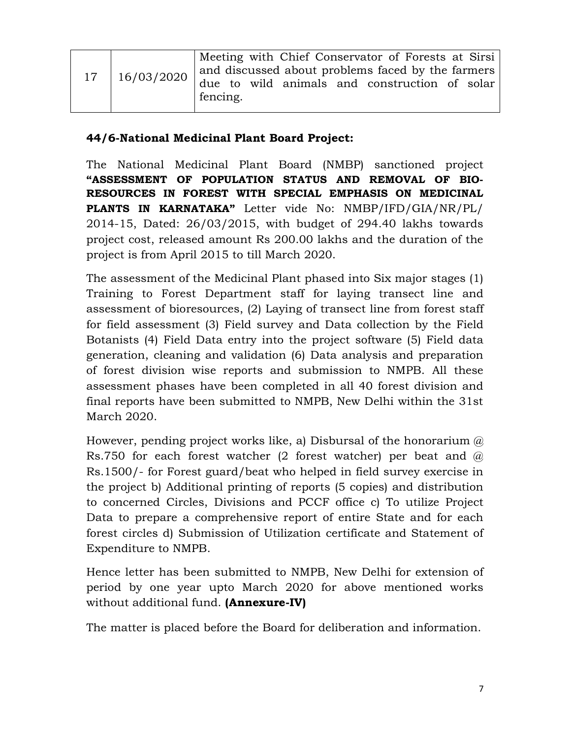| 17 | Meeting with Chief Conservator of Forests at Sirsi<br>and discussed about problems faced by the farmers |  |  |  |  |  |  |
|----|---------------------------------------------------------------------------------------------------------|--|--|--|--|--|--|
|    | $\vert$ 16/03/2020 $\vert$ due to wild animals and construction of solar<br>fencing.                    |  |  |  |  |  |  |

#### 44/6-National Medicinal Plant Board Project:

The National Medicinal Plant Board (NMBP) sanctioned project "ASSESSMENT OF POPULATION STATUS AND REMOVAL OF BIO-RESOURCES IN FOREST WITH SPECIAL EMPHASIS ON MEDICINAL PLANTS IN KARNATAKA" Letter vide No: NMBP/IFD/GIA/NR/PL/ 2014-15, Dated: 26/03/2015, with budget of 294.40 lakhs towards project cost, released amount Rs 200.00 lakhs and the duration of the project is from April 2015 to till March 2020.

The assessment of the Medicinal Plant phased into Six major stages (1) Training to Forest Department staff for laying transect line and assessment of bioresources, (2) Laying of transect line from forest staff for field assessment (3) Field survey and Data collection by the Field Botanists (4) Field Data entry into the project software (5) Field data generation, cleaning and validation (6) Data analysis and preparation of forest division wise reports and submission to NMPB. All these assessment phases have been completed in all 40 forest division and final reports have been submitted to NMPB, New Delhi within the 31st March 2020.

However, pending project works like, a) Disbursal of the honorarium  $\omega$ Rs.750 for each forest watcher (2 forest watcher) per beat and  $\omega$ Rs.1500/- for Forest guard/beat who helped in field survey exercise in the project b) Additional printing of reports (5 copies) and distribution to concerned Circles, Divisions and PCCF office c) To utilize Project Data to prepare a comprehensive report of entire State and for each forest circles d) Submission of Utilization certificate and Statement of Expenditure to NMPB.

Hence letter has been submitted to NMPB, New Delhi for extension of period by one year upto March 2020 for above mentioned works without additional fund. (**Annexure-IV**)

The matter is placed before the Board for deliberation and information.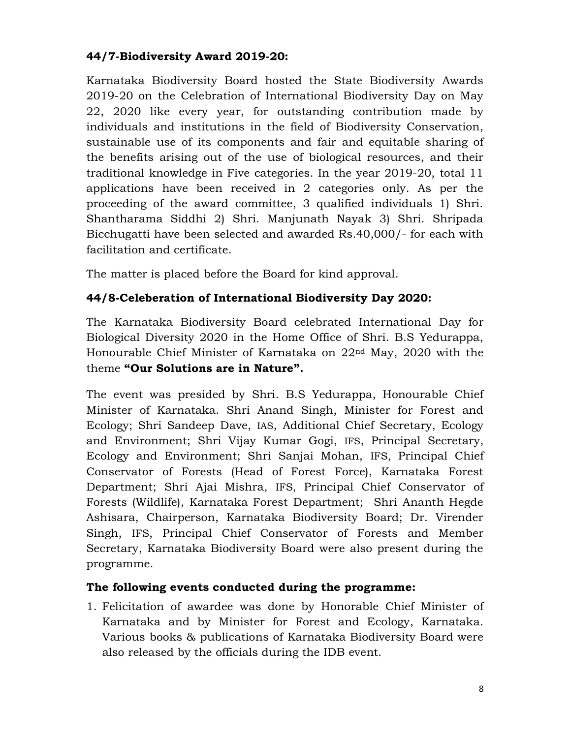### 44/7-Biodiversity Award 2019-20:

Karnataka Biodiversity Board hosted the State Biodiversity Awards 2019-20 on the Celebration of International Biodiversity Day on May 22, 2020 like every year, for outstanding contribution made by individuals and institutions in the field of Biodiversity Conservation, sustainable use of its components and fair and equitable sharing of the benefits arising out of the use of biological resources, and their traditional knowledge in Five categories. In the year 2019-20, total 11 applications have been received in 2 categories only. As per the proceeding of the award committee, 3 qualified individuals 1) Shri. Shantharama Siddhi 2) Shri. Manjunath Nayak 3) Shri. Shripada Bicchugatti have been selected and awarded Rs.40,000/- for each with facilitation and certificate.

The matter is placed before the Board for kind approval.

# 44/8-Celeberation of International Biodiversity Day 2020:

The Karnataka Biodiversity Board celebrated International Day for Biological Diversity 2020 in the Home Office of Shri. B.S Yedurappa, Honourable Chief Minister of Karnataka on 22nd May, 2020 with the theme "Our Solutions are in Nature".

The event was presided by Shri. B.S Yedurappa, Honourable Chief Minister of Karnataka. Shri Anand Singh, Minister for Forest and Ecology; Shri Sandeep Dave, IAS, Additional Chief Secretary, Ecology and Environment; Shri Vijay Kumar Gogi, IFS, Principal Secretary, Ecology and Environment; Shri Sanjai Mohan, IFS, Principal Chief Conservator of Forests (Head of Forest Force), Karnataka Forest Department; Shri Ajai Mishra, IFS, Principal Chief Conservator of Forests (Wildlife), Karnataka Forest Department; Shri Ananth Hegde Ashisara, Chairperson, Karnataka Biodiversity Board; Dr. Virender Singh, IFS, Principal Chief Conservator of Forests and Member Secretary, Karnataka Biodiversity Board were also present during the programme.

# The following events conducted during the programme:

1. Felicitation of awardee was done by Honorable Chief Minister of Karnataka and by Minister for Forest and Ecology, Karnataka. Various books & publications of Karnataka Biodiversity Board were also released by the officials during the IDB event.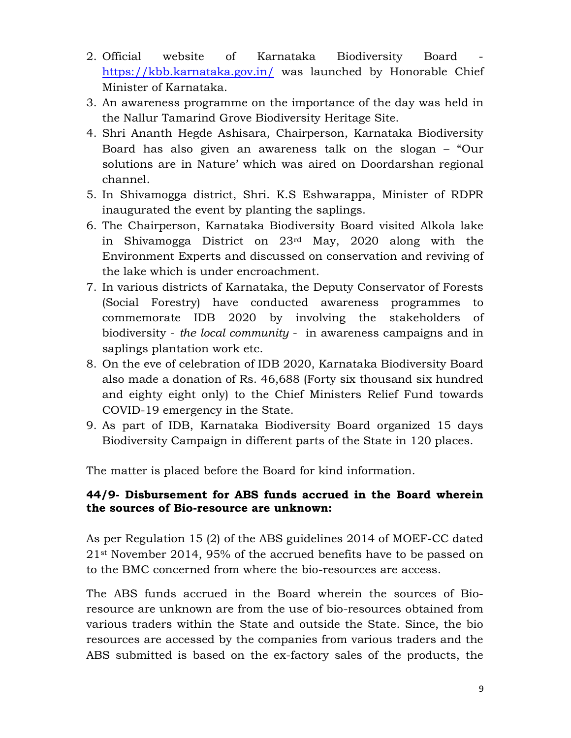- 2. Official website of Karnataka Biodiversity Board https://kbb.karnataka.gov.in/ was launched by Honorable Chief Minister of Karnataka.
- 3. An awareness programme on the importance of the day was held in the Nallur Tamarind Grove Biodiversity Heritage Site.
- 4. Shri Ananth Hegde Ashisara, Chairperson, Karnataka Biodiversity Board has also given an awareness talk on the slogan – "Our solutions are in Nature' which was aired on Doordarshan regional channel.
- 5. In Shivamogga district, Shri. K.S Eshwarappa, Minister of RDPR inaugurated the event by planting the saplings.
- 6. The Chairperson, Karnataka Biodiversity Board visited Alkola lake in Shivamogga District on 23rd May, 2020 along with the Environment Experts and discussed on conservation and reviving of the lake which is under encroachment.
- 7. In various districts of Karnataka, the Deputy Conservator of Forests (Social Forestry) have conducted awareness programmes to commemorate IDB 2020 by involving the stakeholders of biodiversity - the local community - in awareness campaigns and in saplings plantation work etc.
- 8. On the eve of celebration of IDB 2020, Karnataka Biodiversity Board also made a donation of Rs. 46,688 (Forty six thousand six hundred and eighty eight only) to the Chief Ministers Relief Fund towards COVID-19 emergency in the State.
- 9. As part of IDB, Karnataka Biodiversity Board organized 15 days Biodiversity Campaign in different parts of the State in 120 places.

The matter is placed before the Board for kind information.

#### 44/9- Disbursement for ABS funds accrued in the Board wherein the sources of Bio-resource are unknown:

As per Regulation 15 (2) of the ABS guidelines 2014 of MOEF-CC dated 21st November 2014, 95% of the accrued benefits have to be passed on to the BMC concerned from where the bio-resources are access.

The ABS funds accrued in the Board wherein the sources of Bioresource are unknown are from the use of bio-resources obtained from various traders within the State and outside the State. Since, the bio resources are accessed by the companies from various traders and the ABS submitted is based on the ex-factory sales of the products, the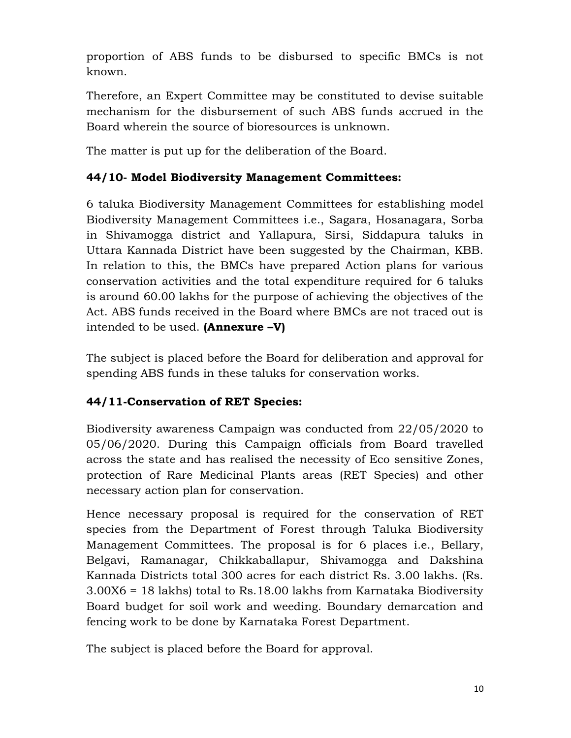proportion of ABS funds to be disbursed to specific BMCs is not known.

Therefore, an Expert Committee may be constituted to devise suitable mechanism for the disbursement of such ABS funds accrued in the Board wherein the source of bioresources is unknown.

The matter is put up for the deliberation of the Board.

# 44/10- Model Biodiversity Management Committees:

6 taluka Biodiversity Management Committees for establishing model Biodiversity Management Committees i.e., Sagara, Hosanagara, Sorba in Shivamogga district and Yallapura, Sirsi, Siddapura taluks in Uttara Kannada District have been suggested by the Chairman, KBB. In relation to this, the BMCs have prepared Action plans for various conservation activities and the total expenditure required for 6 taluks is around 60.00 lakhs for the purpose of achieving the objectives of the Act. ABS funds received in the Board where BMCs are not traced out is intended to be used.  $(Annexure -V)$ 

The subject is placed before the Board for deliberation and approval for spending ABS funds in these taluks for conservation works.

# 44/11-Conservation of RET Species:

Biodiversity awareness Campaign was conducted from 22/05/2020 to 05/06/2020. During this Campaign officials from Board travelled across the state and has realised the necessity of Eco sensitive Zones, protection of Rare Medicinal Plants areas (RET Species) and other necessary action plan for conservation.

Hence necessary proposal is required for the conservation of RET species from the Department of Forest through Taluka Biodiversity Management Committees. The proposal is for 6 places i.e., Bellary, Belgavi, Ramanagar, Chikkaballapur, Shivamogga and Dakshina Kannada Districts total 300 acres for each district Rs. 3.00 lakhs. (Rs. 3.00X6 = 18 lakhs) total to Rs.18.00 lakhs from Karnataka Biodiversity Board budget for soil work and weeding. Boundary demarcation and fencing work to be done by Karnataka Forest Department.

The subject is placed before the Board for approval.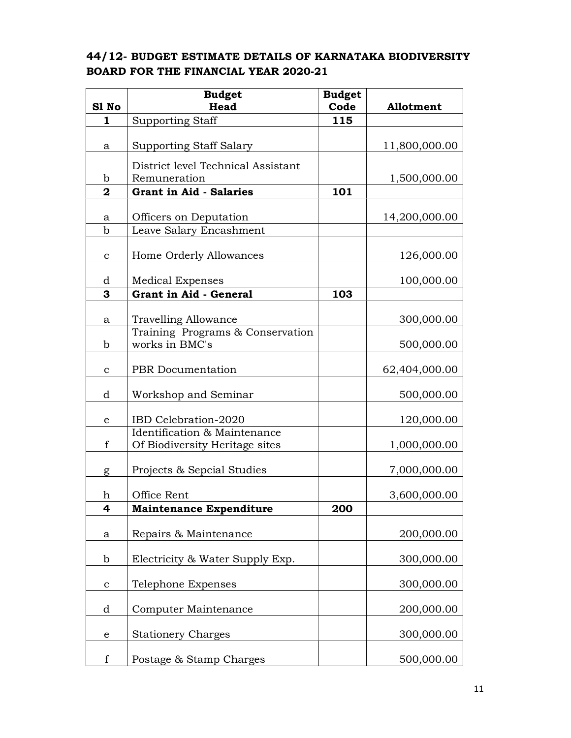#### 44/12- BUDGET ESTIMATE DETAILS OF KARNATAKA BIODIVERSITY BOARD FOR THE FINANCIAL YEAR 2020-21

|                | <b>Budget</b>                      | <b>Budget</b> |                  |
|----------------|------------------------------------|---------------|------------------|
| S1 No          | Head                               | Code          | <b>Allotment</b> |
| 1              | <b>Supporting Staff</b>            | 115           |                  |
| a              | <b>Supporting Staff Salary</b>     |               | 11,800,000.00    |
|                |                                    |               |                  |
|                | District level Technical Assistant |               |                  |
| b              | Remuneration                       |               | 1,500,000.00     |
| $\overline{a}$ | <b>Grant in Aid - Salaries</b>     | 101           |                  |
| a              | Officers on Deputation             |               | 14,200,000.00    |
| $\mathbf b$    | Leave Salary Encashment            |               |                  |
| с              | Home Orderly Allowances            |               | 126,000.00       |
| d              | <b>Medical Expenses</b>            |               | 100,000.00       |
| 3              | Grant in Aid - General             | 103           |                  |
| a              | <b>Travelling Allowance</b>        |               | 300,000.00       |
|                | Training Programs & Conservation   |               |                  |
| b              | works in BMC's                     |               | 500,000.00       |
|                |                                    |               |                  |
| $\mathbf c$    | PBR Documentation                  |               | 62,404,000.00    |
| d              | Workshop and Seminar               |               | 500,000.00       |
| e              | IBD Celebration-2020               |               | 120,000.00       |
|                | Identification & Maintenance       |               |                  |
| $\mathbf f$    | Of Biodiversity Heritage sites     |               | 1,000,000.00     |
| g              | Projects & Sepcial Studies         |               | 7,000,000.00     |
| h              | Office Rent                        |               | 3,600,000.00     |
| 4              | <b>Maintenance Expenditure</b>     | <b>200</b>    |                  |
| $\bf a$        | Repairs & Maintenance              |               | 200,000.00       |
| $\mathbf b$    | Electricity & Water Supply Exp.    |               | 300,000.00       |
| $\mathbf{C}$   | Telephone Expenses                 |               | 300,000.00       |
| d              | Computer Maintenance               |               | 200,000.00       |
| e              | <b>Stationery Charges</b>          |               | 300,000.00       |
| $\mathbf f$    | Postage & Stamp Charges            |               | 500,000.00       |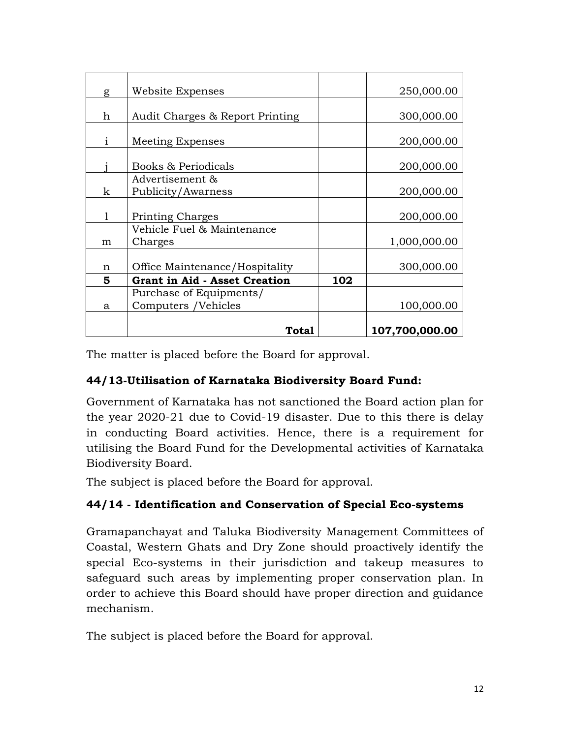| g | Website Expenses                     |     | 250,000.00     |
|---|--------------------------------------|-----|----------------|
|   |                                      |     |                |
| h | Audit Charges & Report Printing      |     | 300,000.00     |
| i | Meeting Expenses                     |     | 200,000.00     |
|   | Books & Periodicals                  |     | 200,000.00     |
|   | Advertisement &                      |     |                |
| k | Publicity/Awarness                   |     | 200,000.00     |
|   |                                      |     |                |
| 1 | <b>Printing Charges</b>              |     | 200,000.00     |
|   | Vehicle Fuel & Maintenance           |     |                |
| m | Charges                              |     | 1,000,000.00   |
|   |                                      |     |                |
| n | Office Maintenance/Hospitality       |     | 300,000.00     |
| 5 | <b>Grant in Aid - Asset Creation</b> | 102 |                |
|   | Purchase of Equipments/              |     |                |
| a | Computers /Vehicles                  |     | 100,000.00     |
|   |                                      |     |                |
|   | Total                                |     | 107,700,000.00 |

The matter is placed before the Board for approval.

### 44/13-Utilisation of Karnataka Biodiversity Board Fund:

Government of Karnataka has not sanctioned the Board action plan for the year 2020-21 due to Covid-19 disaster. Due to this there is delay in conducting Board activities. Hence, there is a requirement for utilising the Board Fund for the Developmental activities of Karnataka Biodiversity Board.

The subject is placed before the Board for approval.

### 44/14 - Identification and Conservation of Special Eco-systems

Gramapanchayat and Taluka Biodiversity Management Committees of Coastal, Western Ghats and Dry Zone should proactively identify the special Eco-systems in their jurisdiction and takeup measures to safeguard such areas by implementing proper conservation plan. In order to achieve this Board should have proper direction and guidance mechanism.

The subject is placed before the Board for approval.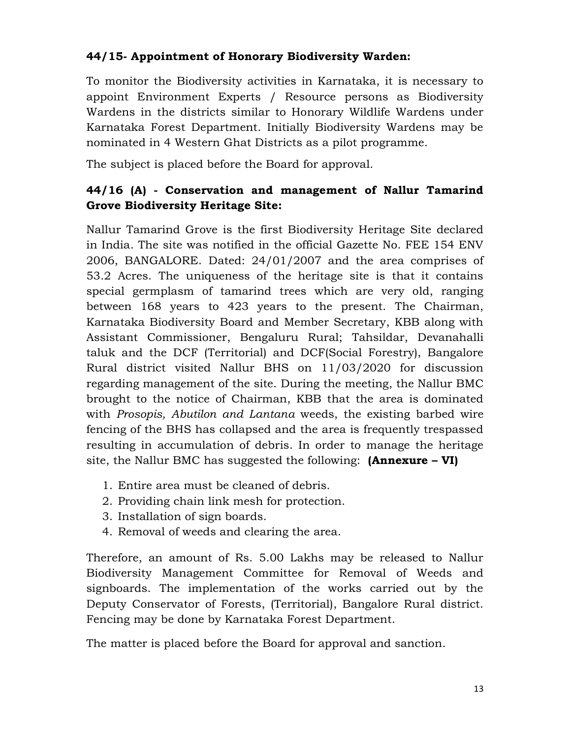## 44/15- Appointment of Honorary Biodiversity Warden:

To monitor the Biodiversity activities in Karnataka, it is necessary to appoint Environment Experts / Resource persons as Biodiversity Wardens in the districts similar to Honorary Wildlife Wardens under Karnataka Forest Department. Initially Biodiversity Wardens may be nominated in 4 Western Ghat Districts as a pilot programme.

The subject is placed before the Board for approval.

# 44/16 (A) - Conservation and management of Nallur Tamarind Grove Biodiversity Heritage Site:

Nallur Tamarind Grove is the first Biodiversity Heritage Site declared in India. The site was notified in the official Gazette No. FEE 154 ENV 2006, BANGALORE. Dated: 24/01/2007 and the area comprises of 53.2 Acres. The uniqueness of the heritage site is that it contains special germplasm of tamarind trees which are very old, ranging between 168 years to 423 years to the present. The Chairman, Karnataka Biodiversity Board and Member Secretary, KBB along with Assistant Commissioner, Bengaluru Rural; Tahsildar, Devanahalli taluk and the DCF (Territorial) and DCF(Social Forestry), Bangalore Rural district visited Nallur BHS on 11/03/2020 for discussion regarding management of the site. During the meeting, the Nallur BMC brought to the notice of Chairman, KBB that the area is dominated with Prosopis, Abutilon and Lantana weeds, the existing barbed wire fencing of the BHS has collapsed and the area is frequently trespassed resulting in accumulation of debris. In order to manage the heritage site, the Nallur BMC has suggested the following:  $(Annexure - VI)$ 

- 1. Entire area must be cleaned of debris.
- 2. Providing chain link mesh for protection.
- 3. Installation of sign boards.
- 4. Removal of weeds and clearing the area.

Therefore, an amount of Rs. 5.00 Lakhs may be released to Nallur Biodiversity Management Committee for Removal of Weeds and signboards. The implementation of the works carried out by the Deputy Conservator of Forests, (Territorial), Bangalore Rural district. Fencing may be done by Karnataka Forest Department.

The matter is placed before the Board for approval and sanction.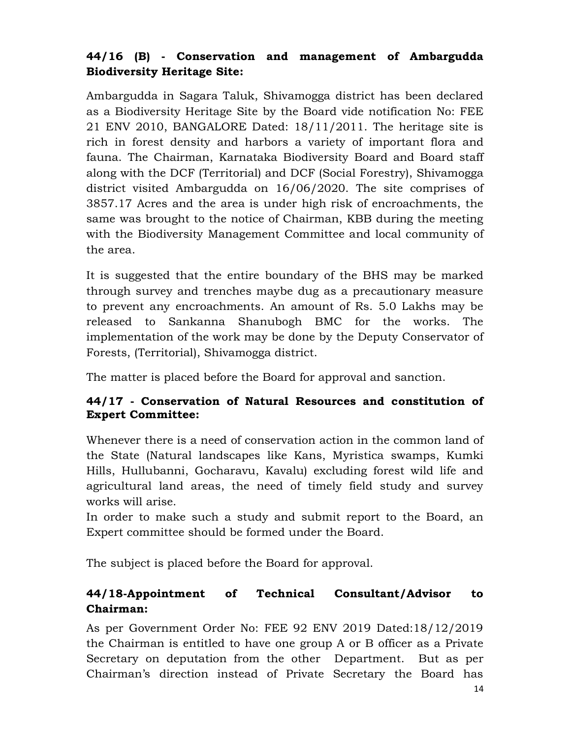# 44/16 (B) - Conservation and management of Ambargudda Biodiversity Heritage Site:

Ambargudda in Sagara Taluk, Shivamogga district has been declared as a Biodiversity Heritage Site by the Board vide notification No: FEE 21 ENV 2010, BANGALORE Dated: 18/11/2011. The heritage site is rich in forest density and harbors a variety of important flora and fauna. The Chairman, Karnataka Biodiversity Board and Board staff along with the DCF (Territorial) and DCF (Social Forestry), Shivamogga district visited Ambargudda on 16/06/2020. The site comprises of 3857.17 Acres and the area is under high risk of encroachments, the same was brought to the notice of Chairman, KBB during the meeting with the Biodiversity Management Committee and local community of the area.

It is suggested that the entire boundary of the BHS may be marked through survey and trenches maybe dug as a precautionary measure to prevent any encroachments. An amount of Rs. 5.0 Lakhs may be released to Sankanna Shanubogh BMC for the works. The implementation of the work may be done by the Deputy Conservator of Forests, (Territorial), Shivamogga district.

The matter is placed before the Board for approval and sanction.

### 44/17 - Conservation of Natural Resources and constitution of Expert Committee:

Whenever there is a need of conservation action in the common land of the State (Natural landscapes like Kans, Myristica swamps, Kumki Hills, Hullubanni, Gocharavu, Kavalu) excluding forest wild life and agricultural land areas, the need of timely field study and survey works will arise.

In order to make such a study and submit report to the Board, an Expert committee should be formed under the Board.

The subject is placed before the Board for approval.

# 44/18-Appointment of Technical Consultant/Advisor to Chairman:

As per Government Order No: FEE 92 ENV 2019 Dated:18/12/2019 the Chairman is entitled to have one group A or B officer as a Private Secretary on deputation from the other Department. But as per Chairman's direction instead of Private Secretary the Board has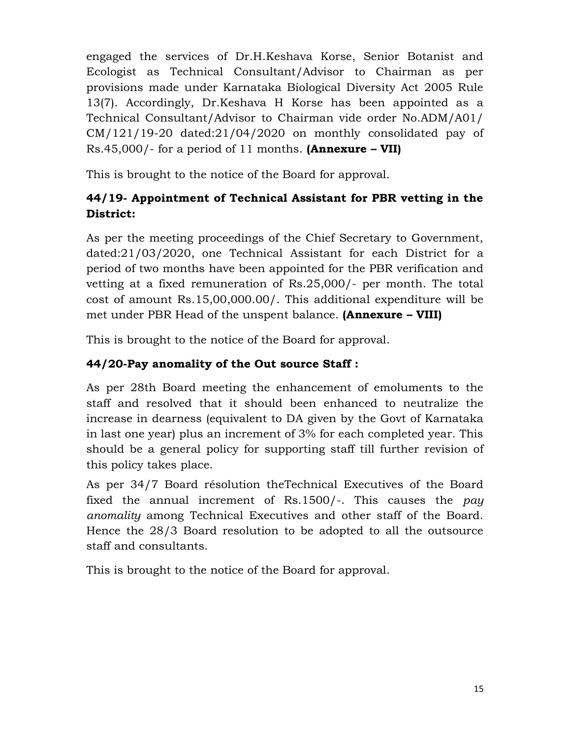engaged the services of Dr.H.Keshava Korse, Senior Botanist and Ecologist as Technical Consultant/Advisor to Chairman as per provisions made under Karnataka Biological Diversity Act 2005 Rule 13(7). Accordingly, Dr.Keshava H Korse has been appointed as a Technical Consultant/Advisor to Chairman vide order No.ADM/A01/ CM/121/19-20 dated:21/04/2020 on monthly consolidated pay of Rs.45,000/- for a period of 11 months. (Annexure – VII)

This is brought to the notice of the Board for approval.

# 44/19- Appointment of Technical Assistant for PBR vetting in the District:

As per the meeting proceedings of the Chief Secretary to Government, dated:21/03/2020, one Technical Assistant for each District for a period of two months have been appointed for the PBR verification and vetting at a fixed remuneration of Rs.25,000/- per month. The total cost of amount Rs.15,00,000.00/. This additional expenditure will be met under PBR Head of the unspent balance. (Annexure – VIII)

This is brought to the notice of the Board for approval.

# 44/20-Pay anomality of the Out source Staff :

As per 28th Board meeting the enhancement of emoluments to the staff and resolved that it should been enhanced to neutralize the increase in dearness (equivalent to DA given by the Govt of Karnataka in last one year) plus an increment of 3% for each completed year. This should be a general policy for supporting staff till further revision of this policy takes place.

As per 34/7 Board résolution theTechnical Executives of the Board fixed the annual increment of Rs.1500/-. This causes the pay anomality among Technical Executives and other staff of the Board. Hence the 28/3 Board resolution to be adopted to all the outsource staff and consultants.

This is brought to the notice of the Board for approval.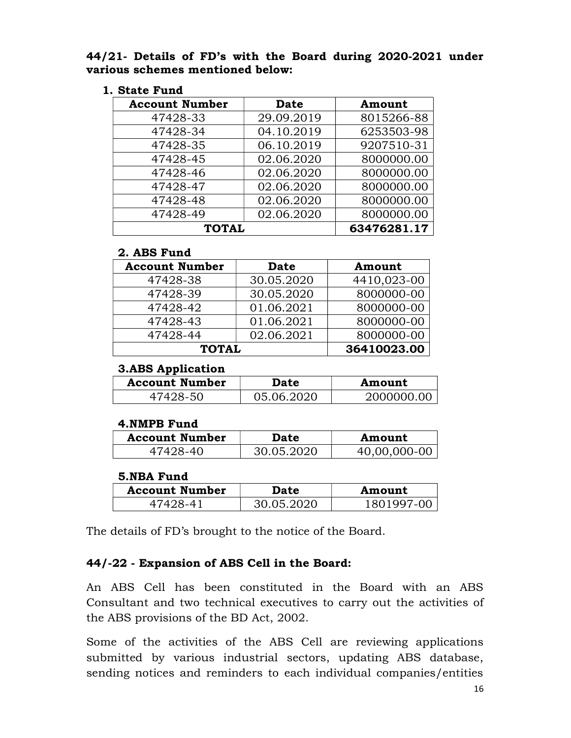44/21- Details of FD's with the Board during 2020-2021 under various schemes mentioned below:

| 1. State Fund |  |
|---------------|--|
|---------------|--|

| <b>Account Number</b> | <b>Date</b> | Amount      |
|-----------------------|-------------|-------------|
| 47428-33              | 29.09.2019  | 8015266-88  |
| 47428-34              | 04.10.2019  | 6253503-98  |
| 47428-35              | 06.10.2019  | 9207510-31  |
| 47428-45              | 02.06.2020  | 8000000.00  |
| 47428-46              | 02.06.2020  | 8000000.00  |
| 47428-47              | 02.06.2020  | 8000000.00  |
| 47428-48              | 02.06.2020  | 8000000.00  |
| 47428-49              | 02.06.2020  | 8000000.00  |
| <b>TOTAL</b>          |             | 63476281.17 |

#### 2. ABS Fund

| <b>Account Number</b> | <b>Date</b> | Amount      |
|-----------------------|-------------|-------------|
| 47428-38              | 30.05.2020  | 4410,023-00 |
| 47428-39              | 30.05.2020  | 8000000-00  |
| 47428-42              | 01.06.2021  | 8000000-00  |
| 47428-43              | 01.06.2021  | 8000000-00  |
| 47428-44              | 02.06.2021  | 8000000-00  |
| <b>TOTAL</b>          |             | 36410023.00 |

#### 3.ABS Application

| <b>Account Number</b> | <b>Date</b> | Amount     |
|-----------------------|-------------|------------|
| 47428-50              | 05.06.2020  | 2000000.00 |

#### 4.NMPB Fund

| <b>Account Number</b> | <b>Date</b> | Amount       |
|-----------------------|-------------|--------------|
| 47428-40              | 30.05.2020  | 40,00,000-00 |

#### 5.NBA Fund

| <b>Account Number</b> | <b>Date</b> | Amount  |
|-----------------------|-------------|---------|
|                       | 30.05.2020  | 1801997 |

The details of FD's brought to the notice of the Board.

### 44/-22 - Expansion of ABS Cell in the Board:

An ABS Cell has been constituted in the Board with an ABS Consultant and two technical executives to carry out the activities of the ABS provisions of the BD Act, 2002.

Some of the activities of the ABS Cell are reviewing applications submitted by various industrial sectors, updating ABS database, sending notices and reminders to each individual companies/entities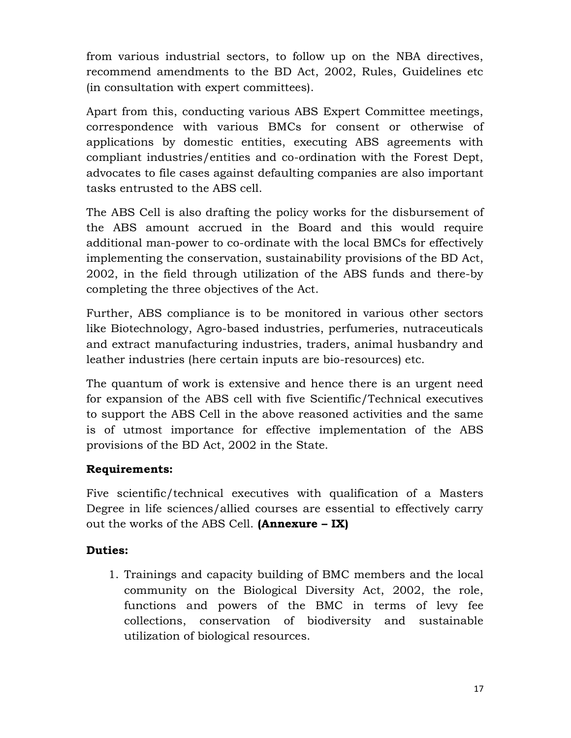from various industrial sectors, to follow up on the NBA directives, recommend amendments to the BD Act, 2002, Rules, Guidelines etc (in consultation with expert committees).

Apart from this, conducting various ABS Expert Committee meetings, correspondence with various BMCs for consent or otherwise of applications by domestic entities, executing ABS agreements with compliant industries/entities and co-ordination with the Forest Dept, advocates to file cases against defaulting companies are also important tasks entrusted to the ABS cell.

The ABS Cell is also drafting the policy works for the disbursement of the ABS amount accrued in the Board and this would require additional man-power to co-ordinate with the local BMCs for effectively implementing the conservation, sustainability provisions of the BD Act, 2002, in the field through utilization of the ABS funds and there-by completing the three objectives of the Act.

Further, ABS compliance is to be monitored in various other sectors like Biotechnology, Agro-based industries, perfumeries, nutraceuticals and extract manufacturing industries, traders, animal husbandry and leather industries (here certain inputs are bio-resources) etc.

The quantum of work is extensive and hence there is an urgent need for expansion of the ABS cell with five Scientific/Technical executives to support the ABS Cell in the above reasoned activities and the same is of utmost importance for effective implementation of the ABS provisions of the BD Act, 2002 in the State.

### Requirements:

Five scientific/technical executives with qualification of a Masters Degree in life sciences/allied courses are essential to effectively carry out the works of the ABS Cell. (Annexure  $-$  IX)

### Duties:

1. Trainings and capacity building of BMC members and the local community on the Biological Diversity Act, 2002, the role, functions and powers of the BMC in terms of levy fee collections, conservation of biodiversity and sustainable utilization of biological resources.